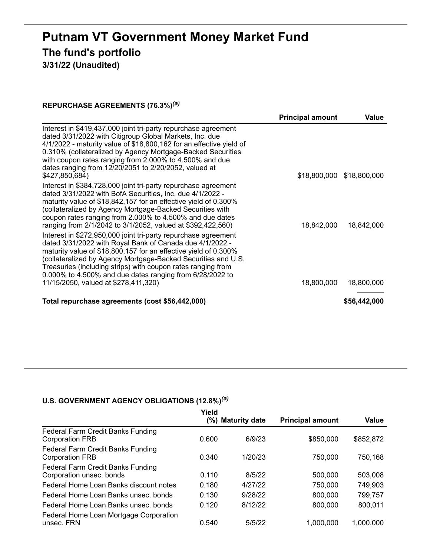# **Putnam VT Government Money Market Fund The fund's portfolio**

**3/31/22 (Unaudited)**

### **REPURCHASE AGREEMENTS (76.3%)** *(a)*

|                                                                                                                                                                                                                                                                                                                                                                                                                                    | <b>Principal amount</b> | Value                     |
|------------------------------------------------------------------------------------------------------------------------------------------------------------------------------------------------------------------------------------------------------------------------------------------------------------------------------------------------------------------------------------------------------------------------------------|-------------------------|---------------------------|
| Interest in \$419,437,000 joint tri-party repurchase agreement<br>dated 3/31/2022 with Citigroup Global Markets, Inc. due<br>4/1/2022 - maturity value of \$18,800,162 for an effective yield of<br>0.310% (collateralized by Agency Mortgage-Backed Securities<br>with coupon rates ranging from 2.000% to 4.500% and due<br>dates ranging from 12/20/2051 to 2/20/2052, valued at<br>\$427,850,684)                              |                         | \$18,800,000 \$18,800,000 |
| Interest in \$384,728,000 joint tri-party repurchase agreement<br>dated 3/31/2022 with BofA Securities, Inc. due 4/1/2022 -<br>maturity value of \$18,842,157 for an effective yield of 0.300%<br>(collateralized by Agency Mortgage-Backed Securities with<br>coupon rates ranging from 2.000% to 4.500% and due dates<br>ranging from 2/1/2042 to 3/1/2052, valued at \$392,422,560)                                             | 18,842,000              | 18,842,000                |
| Interest in \$272,950,000 joint tri-party repurchase agreement<br>dated 3/31/2022 with Royal Bank of Canada due 4/1/2022 -<br>maturity value of \$18,800,157 for an effective yield of 0.300%<br>(collateralized by Agency Mortgage-Backed Securities and U.S.<br>Treasuries (including strips) with coupon rates ranging from<br>0.000% to 4.500% and due dates ranging from 6/28/2022 to<br>11/15/2050, valued at \$278,411,320) | 18,800,000              | 18,800,000                |
| Total repurchase agreements (cost \$56,442,000)                                                                                                                                                                                                                                                                                                                                                                                    |                         | \$56,442,000              |

#### **U.S. GOVERNMENT AGENCY OBLIGATIONS (12.8%)** *(a)*

|                                                               | Yield  |                      |                         |              |
|---------------------------------------------------------------|--------|----------------------|-------------------------|--------------|
|                                                               | $(\%)$ | <b>Maturity date</b> | <b>Principal amount</b> | <b>Value</b> |
| Federal Farm Credit Banks Funding<br><b>Corporation FRB</b>   | 0.600  | 6/9/23               | \$850,000               | \$852,872    |
| Federal Farm Credit Banks Funding<br><b>Corporation FRB</b>   | 0.340  | 1/20/23              | 750,000                 | 750,168      |
| Federal Farm Credit Banks Funding<br>Corporation unsec. bonds | 0.110  | 8/5/22               | 500,000                 | 503,008      |
| Federal Home Loan Banks discount notes                        | 0.180  | 4/27/22              | 750,000                 | 749,903      |
| Federal Home Loan Banks unsec, bonds                          | 0.130  | 9/28/22              | 800,000                 | 799,757      |
| Federal Home Loan Banks unsec, bonds                          | 0.120  | 8/12/22              | 800,000                 | 800,011      |
| Federal Home Loan Mortgage Corporation<br>unsec. FRN          | 0.540  | 5/5/22               | 1,000,000               | 1,000,000    |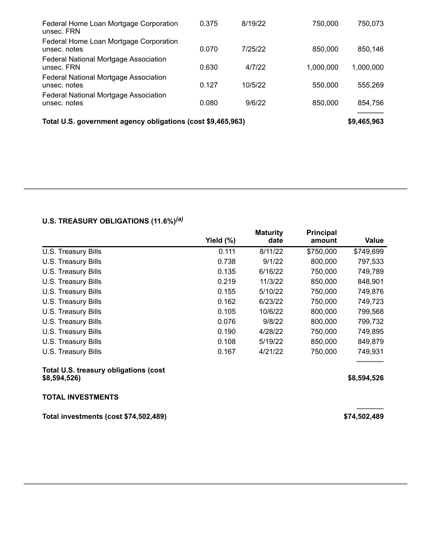| Federal Home Loan Mortgage Corporation<br>unsec. FRN        | 0.375 | 8/19/22 | 750,000   | 750,073     |
|-------------------------------------------------------------|-------|---------|-----------|-------------|
| Federal Home Loan Mortgage Corporation<br>unsec. notes      | 0.070 | 7/25/22 | 850,000   | 850,146     |
| Federal National Mortgage Association<br>unsec. FRN         | 0.630 | 4/7/22  | 1,000,000 | 1,000,000   |
| Federal National Mortgage Association<br>unsec. notes       | 0.127 | 10/5/22 | 550,000   | 555,269     |
| Federal National Mortgage Association<br>unsec. notes       | 0.080 | 9/6/22  | 850,000   | 854,756     |
| Total U.S. government agency obligations (cost \$9,465,963) |       |         |           | \$9,465,963 |

|  |  |  | Total U.S. government agency obligations (cost \$9,465,963) |  |  |
|--|--|--|-------------------------------------------------------------|--|--|
|--|--|--|-------------------------------------------------------------|--|--|

## **U.S. TREASURY OBLIGATIONS (11.6%)** *(a)*

|                                                       | Yield (%) | <b>Maturity</b><br>date | <b>Principal</b><br>amount | Value        |
|-------------------------------------------------------|-----------|-------------------------|----------------------------|--------------|
| U.S. Treasury Bills                                   | 0.111     | 8/11/22                 | \$750,000                  | \$749,699    |
| U.S. Treasury Bills                                   | 0.738     | 9/1/22                  | 800,000                    | 797,533      |
| U.S. Treasury Bills                                   | 0.135     | 6/16/22                 | 750,000                    | 749,789      |
| U.S. Treasury Bills                                   | 0.219     | 11/3/22                 | 850,000                    | 848,901      |
| U.S. Treasury Bills                                   | 0.155     | 5/10/22                 | 750,000                    | 749,876      |
| U.S. Treasury Bills                                   | 0.162     | 6/23/22                 | 750,000                    | 749,723      |
| U.S. Treasury Bills                                   | 0.105     | 10/6/22                 | 800,000                    | 799,568      |
| U.S. Treasury Bills                                   | 0.076     | 9/8/22                  | 800,000                    | 799,732      |
| U.S. Treasury Bills                                   | 0.190     | 4/28/22                 | 750,000                    | 749,895      |
| U.S. Treasury Bills                                   | 0.108     | 5/19/22                 | 850,000                    | 849,879      |
| U.S. Treasury Bills                                   | 0.167     | 4/21/22                 | 750,000                    | 749,931      |
| Total U.S. treasury obligations (cost<br>\$8,594,526) |           |                         |                            | \$8,594,526  |
| <b>TOTAL INVESTMENTS</b>                              |           |                         |                            |              |
| Total investments (cost \$74,502,489)                 |           |                         |                            | \$74,502,489 |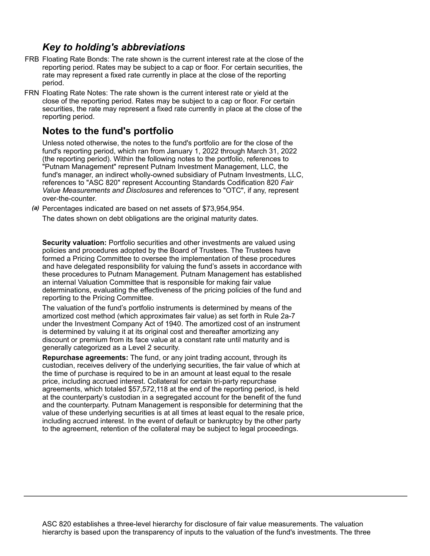# *Key to holding's abbreviations*

- FRB Floating Rate Bonds: The rate shown is the current interest rate at the close of the reporting period. Rates may be subject to a cap or floor. For certain securities, the rate may represent a fixed rate currently in place at the close of the reporting period.
- FRN Floating Rate Notes: The rate shown is the current interest rate or yield at the close of the reporting period. Rates may be subject to a cap or floor. For certain securities, the rate may represent a fixed rate currently in place at the close of the reporting period.

## **Notes to the fund's portfolio**

Unless noted otherwise, the notes to the fund's portfolio are for the close of the fund's reporting period, which ran from January 1, 2022 through March 31, 2022 (the reporting period). Within the following notes to the portfolio, references to "Putnam Management" represent Putnam Investment Management, LLC, the fund's manager, an indirect wholly-owned subsidiary of Putnam Investments, LLC, references to "ASC 820" represent Accounting Standards Codification 820 *Fair Value Measurements and Disclosures* and references to "OTC", if any, represent over-the-counter.

*(a)* Percentages indicated are based on net assets of \$73,954,954.

The dates shown on debt obligations are the original maturity dates.

**Security valuation:** Portfolio securities and other investments are valued using policies and procedures adopted by the Board of Trustees. The Trustees have formed a Pricing Committee to oversee the implementation of these procedures and have delegated responsibility for valuing the fund's assets in accordance with these procedures to Putnam Management. Putnam Management has established an internal Valuation Committee that is responsible for making fair value determinations, evaluating the effectiveness of the pricing policies of the fund and reporting to the Pricing Committee.

The valuation of the fund's portfolio instruments is determined by means of the amortized cost method (which approximates fair value) as set forth in Rule 2a-7 under the Investment Company Act of 1940. The amortized cost of an instrument is determined by valuing it at its original cost and thereafter amortizing any discount or premium from its face value at a constant rate until maturity and is generally categorized as a Level 2 security.

**Repurchase agreements:** The fund, or any joint trading account, through its custodian, receives delivery of the underlying securities, the fair value of which at the time of purchase is required to be in an amount at least equal to the resale price, including accrued interest. Collateral for certain tri-party repurchase agreements, which totaled \$57,572,118 at the end of the reporting period, is held at the counterparty's custodian in a segregated account for the benefit of the fund and the counterparty. Putnam Management is responsible for determining that the value of these underlying securities is at all times at least equal to the resale price, including accrued interest. In the event of default or bankruptcy by the other party to the agreement, retention of the collateral may be subject to legal proceedings.